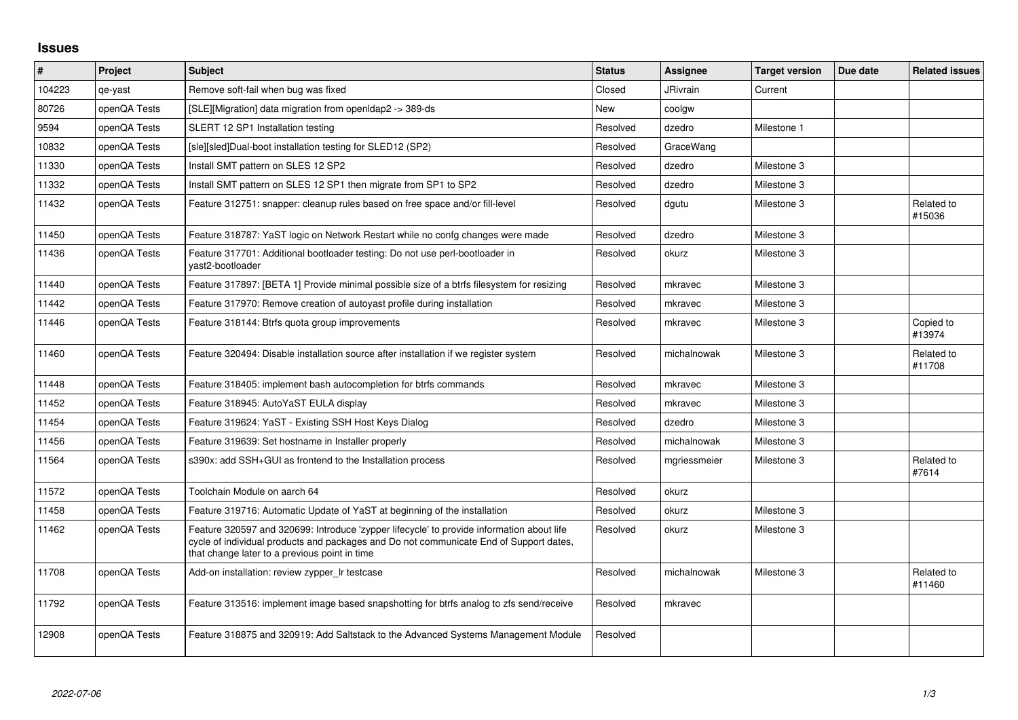## **Issues**

| $\vert$ # | Project      | <b>Subject</b>                                                                                                                                                                                                                       | <b>Status</b> | <b>Assignee</b> | <b>Target version</b> | Due date | <b>Related issues</b> |
|-----------|--------------|--------------------------------------------------------------------------------------------------------------------------------------------------------------------------------------------------------------------------------------|---------------|-----------------|-----------------------|----------|-----------------------|
| 104223    | qe-yast      | Remove soft-fail when bug was fixed                                                                                                                                                                                                  | Closed        | JRivrain        | Current               |          |                       |
| 80726     | openQA Tests | [SLE][Migration] data migration from openIdap2 -> 389-ds                                                                                                                                                                             | New           | coolgw          |                       |          |                       |
| 9594      | openQA Tests | SLERT 12 SP1 Installation testing                                                                                                                                                                                                    | Resolved      | dzedro          | Milestone 1           |          |                       |
| 10832     | openQA Tests | [sle][sled]Dual-boot installation testing for SLED12 (SP2)                                                                                                                                                                           | Resolved      | GraceWang       |                       |          |                       |
| 11330     | openQA Tests | Install SMT pattern on SLES 12 SP2                                                                                                                                                                                                   | Resolved      | dzedro          | Milestone 3           |          |                       |
| 11332     | openQA Tests | Install SMT pattern on SLES 12 SP1 then migrate from SP1 to SP2                                                                                                                                                                      | Resolved      | dzedro          | Milestone 3           |          |                       |
| 11432     | openQA Tests | Feature 312751: snapper: cleanup rules based on free space and/or fill-level                                                                                                                                                         | Resolved      | dgutu           | Milestone 3           |          | Related to<br>#15036  |
| 11450     | openQA Tests | Feature 318787: YaST logic on Network Restart while no confg changes were made                                                                                                                                                       | Resolved      | dzedro          | Milestone 3           |          |                       |
| 11436     | openQA Tests | Feature 317701: Additional bootloader testing: Do not use perl-bootloader in<br>yast2-bootloader                                                                                                                                     | Resolved      | okurz           | Milestone 3           |          |                       |
| 11440     | openQA Tests | Feature 317897: [BETA 1] Provide minimal possible size of a btrfs filesystem for resizing                                                                                                                                            | Resolved      | mkravec         | Milestone 3           |          |                       |
| 11442     | openQA Tests | Feature 317970: Remove creation of autoyast profile during installation                                                                                                                                                              | Resolved      | mkravec         | Milestone 3           |          |                       |
| 11446     | openQA Tests | Feature 318144: Btrfs quota group improvements                                                                                                                                                                                       | Resolved      | mkravec         | Milestone 3           |          | Copied to<br>#13974   |
| 11460     | openQA Tests | Feature 320494: Disable installation source after installation if we register system                                                                                                                                                 | Resolved      | michalnowak     | Milestone 3           |          | Related to<br>#11708  |
| 11448     | openQA Tests | Feature 318405: implement bash autocompletion for btrfs commands                                                                                                                                                                     | Resolved      | mkravec         | Milestone 3           |          |                       |
| 11452     | openQA Tests | Feature 318945: AutoYaST EULA display                                                                                                                                                                                                | Resolved      | mkravec         | Milestone 3           |          |                       |
| 11454     | openQA Tests | Feature 319624: YaST - Existing SSH Host Keys Dialog                                                                                                                                                                                 | Resolved      | dzedro          | Milestone 3           |          |                       |
| 11456     | openQA Tests | Feature 319639: Set hostname in Installer properly                                                                                                                                                                                   | Resolved      | michalnowak     | Milestone 3           |          |                       |
| 11564     | openQA Tests | s390x: add SSH+GUI as frontend to the Installation process                                                                                                                                                                           | Resolved      | mgriessmeier    | Milestone 3           |          | Related to<br>#7614   |
| 11572     | openQA Tests | Toolchain Module on aarch 64                                                                                                                                                                                                         | Resolved      | okurz           |                       |          |                       |
| 11458     | openQA Tests | Feature 319716: Automatic Update of YaST at beginning of the installation                                                                                                                                                            | Resolved      | okurz           | Milestone 3           |          |                       |
| 11462     | openQA Tests | Feature 320597 and 320699: Introduce 'zypper lifecycle' to provide information about life<br>cycle of individual products and packages and Do not communicate End of Support dates,<br>that change later to a previous point in time | Resolved      | okurz           | Milestone 3           |          |                       |
| 11708     | openQA Tests | Add-on installation: review zypper Ir testcase                                                                                                                                                                                       | Resolved      | michalnowak     | Milestone 3           |          | Related to<br>#11460  |
| 11792     | openQA Tests | Feature 313516: implement image based snapshotting for btrfs analog to zfs send/receive                                                                                                                                              | Resolved      | mkravec         |                       |          |                       |
| 12908     | openQA Tests | Feature 318875 and 320919: Add Saltstack to the Advanced Systems Management Module                                                                                                                                                   | Resolved      |                 |                       |          |                       |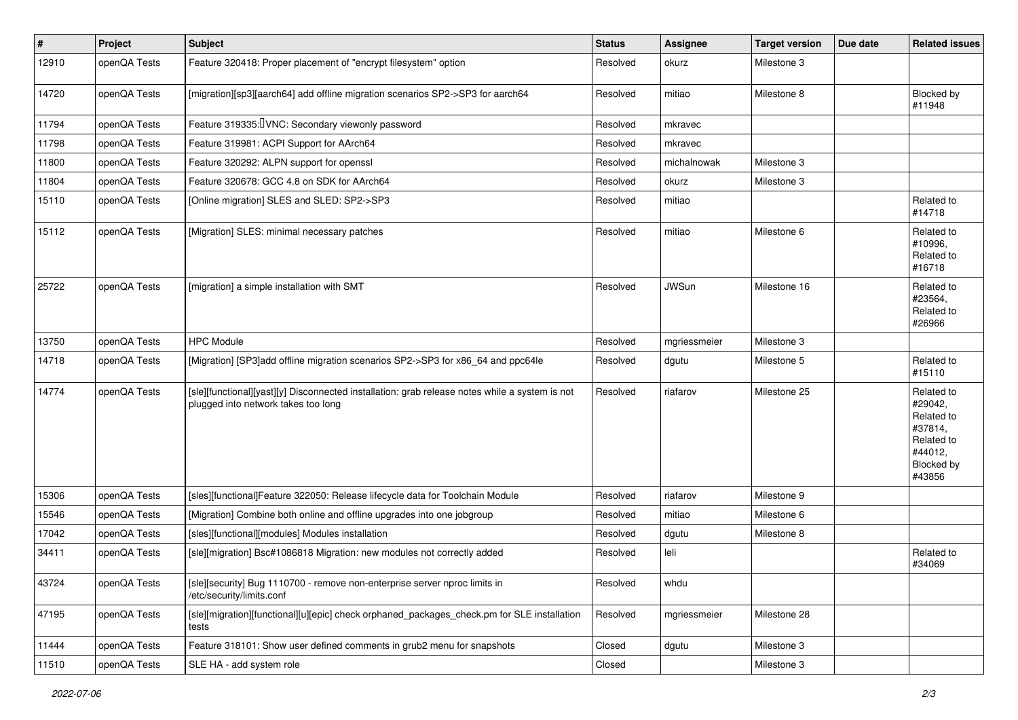| $\vert$ # | Project      | <b>Subject</b>                                                                                                                        | <b>Status</b> | <b>Assignee</b> | <b>Target version</b> | Due date | <b>Related issues</b>                                                                                  |
|-----------|--------------|---------------------------------------------------------------------------------------------------------------------------------------|---------------|-----------------|-----------------------|----------|--------------------------------------------------------------------------------------------------------|
| 12910     | openQA Tests | Feature 320418: Proper placement of "encrypt filesystem" option                                                                       | Resolved      | okurz           | Milestone 3           |          |                                                                                                        |
| 14720     | openQA Tests | [migration][sp3][aarch64] add offline migration scenarios SP2->SP3 for aarch64                                                        | Resolved      | mitiao          | Milestone 8           |          | Blocked by<br>#11948                                                                                   |
| 11794     | openQA Tests | Feature 319335: VNC: Secondary viewonly password                                                                                      | Resolved      | mkravec         |                       |          |                                                                                                        |
| 11798     | openQA Tests | Feature 319981: ACPI Support for AArch64                                                                                              | Resolved      | mkravec         |                       |          |                                                                                                        |
| 11800     | openQA Tests | Feature 320292: ALPN support for openssl                                                                                              | Resolved      | michalnowak     | Milestone 3           |          |                                                                                                        |
| 11804     | openQA Tests | Feature 320678: GCC 4.8 on SDK for AArch64                                                                                            | Resolved      | okurz           | Milestone 3           |          |                                                                                                        |
| 15110     | openQA Tests | [Online migration] SLES and SLED: SP2->SP3                                                                                            | Resolved      | mitiao          |                       |          | Related to<br>#14718                                                                                   |
| 15112     | openQA Tests | [Migration] SLES: minimal necessary patches                                                                                           | Resolved      | mitiao          | Milestone 6           |          | Related to<br>#10996,<br>Related to<br>#16718                                                          |
| 25722     | openQA Tests | [migration] a simple installation with SMT                                                                                            | Resolved      | <b>JWSun</b>    | Milestone 16          |          | Related to<br>#23564,<br>Related to<br>#26966                                                          |
| 13750     | openQA Tests | <b>HPC Module</b>                                                                                                                     | Resolved      | mgriessmeier    | Milestone 3           |          |                                                                                                        |
| 14718     | openQA Tests | [Migration] [SP3]add offline migration scenarios SP2->SP3 for x86_64 and ppc64le                                                      | Resolved      | dgutu           | Milestone 5           |          | Related to<br>#15110                                                                                   |
| 14774     | openQA Tests | [sle][functional][yast][y] Disconnected installation: grab release notes while a system is not<br>plugged into network takes too long | Resolved      | riafarov        | Milestone 25          |          | Related to<br>#29042,<br>Related to<br>#37814,<br>Related to<br>#44012,<br><b>Blocked by</b><br>#43856 |
| 15306     | openQA Tests | [sles][functional]Feature 322050: Release lifecycle data for Toolchain Module                                                         | Resolved      | riafarov        | Milestone 9           |          |                                                                                                        |
| 15546     | openQA Tests | [Migration] Combine both online and offline upgrades into one jobgroup                                                                | Resolved      | mitiao          | Milestone 6           |          |                                                                                                        |
| 17042     | openQA Tests | [sles][functional][modules] Modules installation                                                                                      | Resolved      | dgutu           | Milestone 8           |          |                                                                                                        |
| 34411     | openQA Tests | [sle][migration] Bsc#1086818 Migration: new modules not correctly added                                                               | Resolved      | leli            |                       |          | Related to<br>#34069                                                                                   |
| 43724     | openQA Tests | [sle][security] Bug 1110700 - remove non-enterprise server nproc limits in<br>/etc/security/limits.conf                               | Resolved      | whdu            |                       |          |                                                                                                        |
| 47195     | openQA Tests | [sle][migration][functional][u][epic] check orphaned_packages_check.pm for SLE installation<br>tests                                  | Resolved      | mgriessmeier    | Milestone 28          |          |                                                                                                        |
| 11444     | openQA Tests | Feature 318101: Show user defined comments in grub2 menu for snapshots                                                                | Closed        | dgutu           | Milestone 3           |          |                                                                                                        |
| 11510     | openQA Tests | SLE HA - add system role                                                                                                              | Closed        |                 | Milestone 3           |          |                                                                                                        |